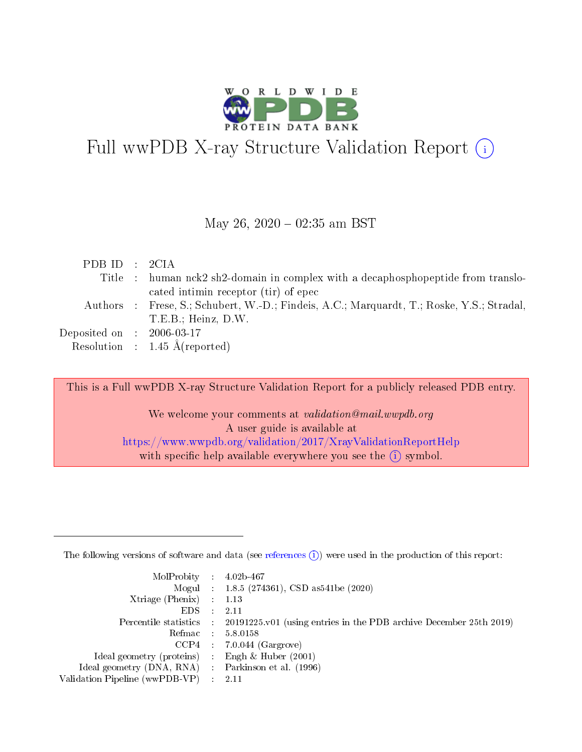

# Full wwPDB X-ray Structure Validation Report  $(i)$

#### May 26,  $2020 - 02:35$  am BST

| PDBID : 2CIA                        |                                                                                           |
|-------------------------------------|-------------------------------------------------------------------------------------------|
|                                     | Title : human nck2 sh2-domain in complex with a decaphosphopeptide from translo-          |
|                                     | cated intimin receptor (tir) of epec                                                      |
|                                     | Authors : Frese, S.; Schubert, W.-D.; Findeis, A.C.; Marquardt, T.; Roske, Y.S.; Stradal, |
|                                     | T.E.B.: Heinz, D.W.                                                                       |
| Deposited on $\,$ : 2006-03-17 $\,$ |                                                                                           |
|                                     | Resolution : $1.45 \text{ Å}$ (reported)                                                  |

This is a Full wwPDB X-ray Structure Validation Report for a publicly released PDB entry.

We welcome your comments at validation@mail.wwpdb.org A user guide is available at <https://www.wwpdb.org/validation/2017/XrayValidationReportHelp> with specific help available everywhere you see the  $(i)$  symbol.

The following versions of software and data (see [references](https://www.wwpdb.org/validation/2017/XrayValidationReportHelp#references)  $(1)$ ) were used in the production of this report:

| $MolProbability$ : 4.02b-467                        |                                                                                            |
|-----------------------------------------------------|--------------------------------------------------------------------------------------------|
|                                                     | Mogul : $1.8.5$ (274361), CSD as 541be (2020)                                              |
| Xtriage (Phenix) $: 1.13$                           |                                                                                            |
| EDS                                                 | -2.11                                                                                      |
|                                                     | Percentile statistics : 20191225.v01 (using entries in the PDB archive December 25th 2019) |
| Refmac 58.0158                                      |                                                                                            |
|                                                     | $CCP4$ 7.0.044 (Gargrove)                                                                  |
| Ideal geometry (proteins) : Engh $\&$ Huber (2001)  |                                                                                            |
| Ideal geometry (DNA, RNA) : Parkinson et al. (1996) |                                                                                            |
| Validation Pipeline (wwPDB-VP) : 2.11               |                                                                                            |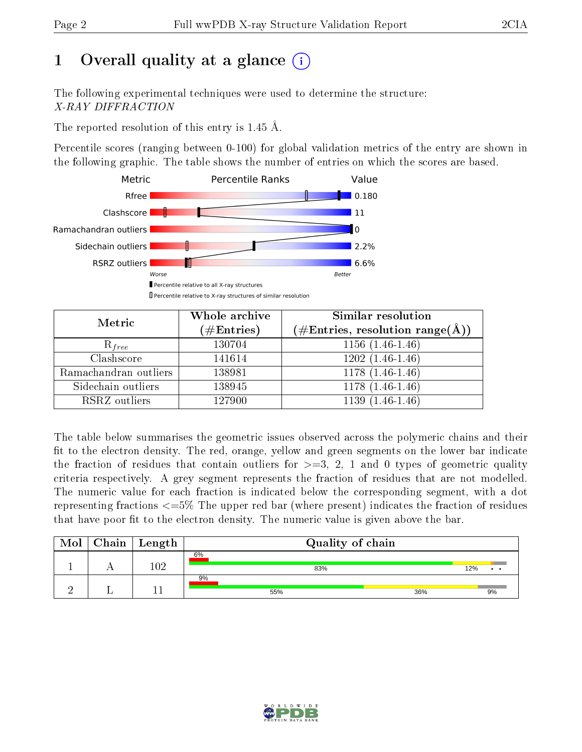# 1 [O](https://www.wwpdb.org/validation/2017/XrayValidationReportHelp#overall_quality)verall quality at a glance  $(i)$

The following experimental techniques were used to determine the structure: X-RAY DIFFRACTION

The reported resolution of this entry is 1.45 Å.

Percentile scores (ranging between 0-100) for global validation metrics of the entry are shown in the following graphic. The table shows the number of entries on which the scores are based.



| Metric                | Whole archive<br>$(\#\mathrm{Entries})$ | Similar resolution<br>$(\#\text{Entries}, \text{resolution range}(\textup{\AA}))$ |
|-----------------------|-----------------------------------------|-----------------------------------------------------------------------------------|
| $R_{free}$            | 130704                                  | $1156(1.46-1.46)$                                                                 |
| Clashscore            | 141614                                  | $1202(1.46-1.46)$                                                                 |
| Ramachandran outliers | 138981                                  | $\overline{1178}$ $(1.46-1.46)$                                                   |
| Sidechain outliers    | 138945                                  | $1178(1.46-1.46)$                                                                 |
| RSRZ outliers         | 127900                                  | $1139(1.46-1.46)$                                                                 |

The table below summarises the geometric issues observed across the polymeric chains and their fit to the electron density. The red, orange, yellow and green segments on the lower bar indicate the fraction of residues that contain outliers for  $>=3, 2, 1$  and 0 types of geometric quality criteria respectively. A grey segment represents the fraction of residues that are not modelled. The numeric value for each fraction is indicated below the corresponding segment, with a dot representing fractions  $\epsilon=5\%$  The upper red bar (where present) indicates the fraction of residues that have poor fit to the electron density. The numeric value is given above the bar.

| Mol | ${\rm Chain \mid Length}$ | Quality of chain |     |
|-----|---------------------------|------------------|-----|
|     |                           | 6%<br>83%        | 12% |
|     |                           | 9%<br>36%<br>55% | 9%  |

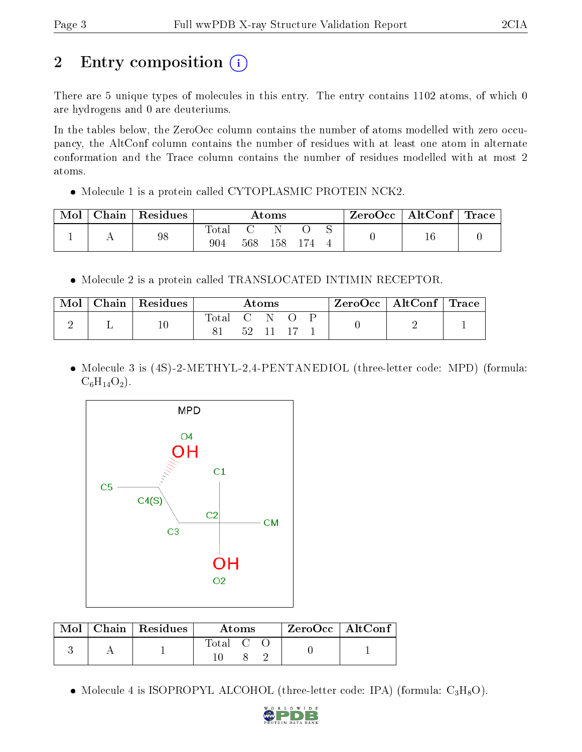# 2 Entry composition (i)

There are 5 unique types of molecules in this entry. The entry contains 1102 atoms, of which 0 are hydrogens and 0 are deuteriums.

In the tables below, the ZeroOcc column contains the number of atoms modelled with zero occupancy, the AltConf column contains the number of residues with at least one atom in alternate conformation and the Trace column contains the number of residues modelled with at most 2 atoms.

Molecule 1 is a protein called CYTOPLASMIC PROTEIN NCK2.

| Mol | ${\bf Chain}$ | $\perp$ Residues | $\rm{Atoms}$ |     |         | $\text{ZeroOcc}$   AltConf   Trace |  |  |  |
|-----|---------------|------------------|--------------|-----|---------|------------------------------------|--|--|--|
|     |               | 98               | Total<br>904 | 568 | $158\,$ |                                    |  |  |  |

• Molecule 2 is a protein called TRANSLOCATED INTIMIN RECEPTOR.

| Mol | $Chain   Residues$ | $\bm{\mathrm{Atoms}}$ |              |  | $ZeroOcc \   \ AltConf \   \ Trace$ |   |  |
|-----|--------------------|-----------------------|--------------|--|-------------------------------------|---|--|
|     | $10\,$             | $\rm Total$           | $\mathbf{C}$ |  |                                     | - |  |
|     |                    |                       |              |  |                                     |   |  |

• Molecule 3 is (4S)-2-METHYL-2,4-PENTANEDIOL (three-letter code: MPD) (formula:  $C_6H_{14}O_2$ .



|  | $Mol$   Chain   Residues | Atoms |  |  | $ZeroOcc$   AltConf |  |
|--|--------------------------|-------|--|--|---------------------|--|
|  |                          | Total |  |  |                     |  |

• Molecule 4 is ISOPROPYL ALCOHOL (three-letter code: IPA) (formula:  $C_3H_8O$ ).

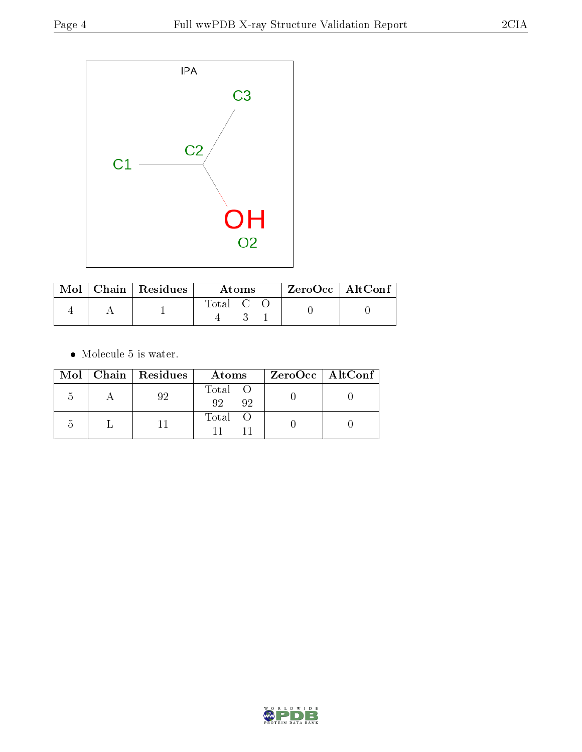

|  | $\text{Mol}$   Chain   Residues | Atoms   |  |  | ZeroOcc   AltConf |  |
|--|---------------------------------|---------|--|--|-------------------|--|
|  |                                 | Total C |  |  |                   |  |

 $\bullet\,$  Molecule 5 is water.

|  | $Mol$   Chain   Residues | Atoms                | $ZeroOcc \   \ AltConf \  $ |
|--|--------------------------|----------------------|-----------------------------|
|  |                          | Total O<br>92<br>-92 |                             |
|  |                          | Total O              |                             |

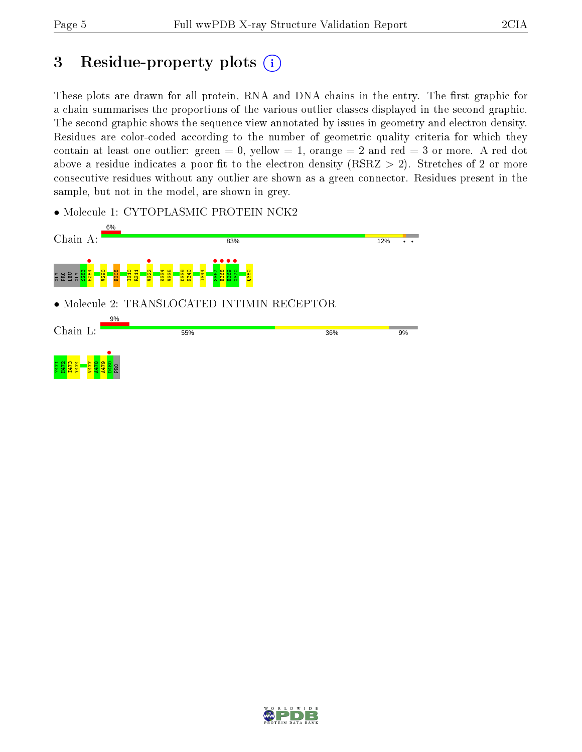# 3 Residue-property plots  $(i)$

These plots are drawn for all protein, RNA and DNA chains in the entry. The first graphic for a chain summarises the proportions of the various outlier classes displayed in the second graphic. The second graphic shows the sequence view annotated by issues in geometry and electron density. Residues are color-coded according to the number of geometric quality criteria for which they contain at least one outlier: green  $= 0$ , yellow  $= 1$ , orange  $= 2$  and red  $= 3$  or more. A red dot above a residue indicates a poor fit to the electron density (RSRZ  $> 2$ ). Stretches of 2 or more consecutive residues without any outlier are shown as a green connector. Residues present in the sample, but not in the model, are shown in grey.

• Molecule 1: CYTOPLASMIC PROTEIN NCK2



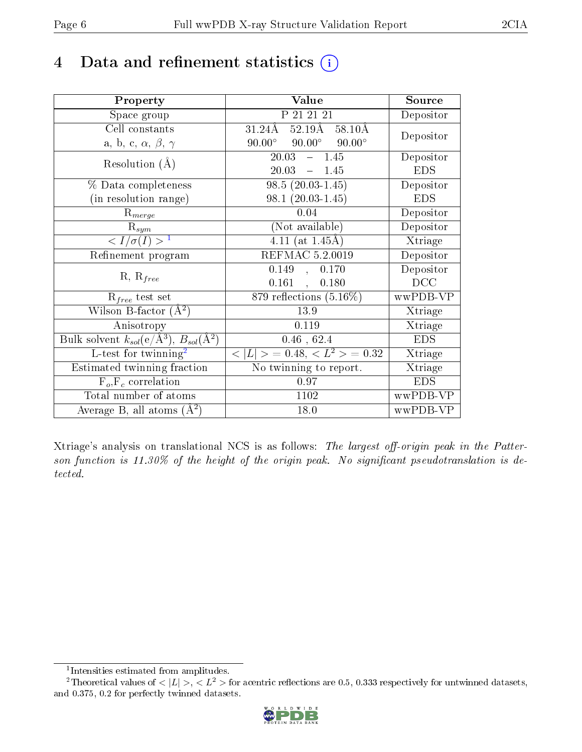# 4 Data and refinement statistics  $(i)$

| Property                                                   | Value                                            | Source     |
|------------------------------------------------------------|--------------------------------------------------|------------|
| Space group                                                | P 21 21 21                                       | Depositor  |
| Cell constants                                             | $52.19\text{\AA}$<br>$31.24\text{\AA}$<br>58.10Å | Depositor  |
| a, b, c, $\alpha$ , $\beta$ , $\gamma$                     | $90.00^\circ$<br>$90.00^\circ$<br>$90.00^\circ$  |            |
| Resolution $(A)$                                           | 20.03<br>$-1.45$                                 | Depositor  |
|                                                            | $20.03 - 1.45$                                   | <b>EDS</b> |
| % Data completeness                                        | $98.5(20.03-1.45)$                               | Depositor  |
| (in resolution range)                                      | $98.1(20.03-1.45)$                               | <b>EDS</b> |
| $R_{merge}$                                                | 0.04                                             | Depositor  |
| $\mathrm{R}_{sym}$                                         | (Not available)                                  | Depositor  |
| $\langle I/\sigma(I) \rangle^{-1}$                         | $4.11$ (at 1.45Å)                                | Xtriage    |
| Refinement program                                         | REFMAC 5.2.0019                                  | Depositor  |
| $R, R_{free}$                                              | 0.149,<br>0.170                                  | Depositor  |
|                                                            | $0.161$ ,<br>0.180                               | DCC        |
| $\mathcal{R}_{free}$ test set                              | 879 reflections $(5.16\%)$                       | wwPDB-VP   |
| Wilson B-factor $(A^2)$                                    | 13.9                                             | Xtriage    |
| Anisotropy                                                 | 0.119                                            | Xtriage    |
| Bulk solvent $k_{sol}$ (e/Å <sup>3</sup> ), $B_{sol}(A^2)$ | $0.46$ , 62.4                                    | <b>EDS</b> |
| L-test for twinning <sup>2</sup>                           | $< L >$ = 0.48, $< L2 >$ = 0.32                  | Xtriage    |
| Estimated twinning fraction                                | No twinning to report.                           | Xtriage    |
| $F_o, F_c$ correlation                                     | 0.97                                             | <b>EDS</b> |
| Total number of atoms                                      | 1102                                             | wwPDB-VP   |
| Average B, all atoms $(A^2)$                               | 18.0                                             | wwPDB-VP   |

Xtriage's analysis on translational NCS is as follows: The largest off-origin peak in the Patterson function is  $11.30\%$  of the height of the origin peak. No significant pseudotranslation is detected.

<sup>&</sup>lt;sup>2</sup>Theoretical values of  $\langle |L| \rangle$ ,  $\langle L^2 \rangle$  for acentric reflections are 0.5, 0.333 respectively for untwinned datasets, and 0.375, 0.2 for perfectly twinned datasets.



<span id="page-5-1"></span><span id="page-5-0"></span><sup>1</sup> Intensities estimated from amplitudes.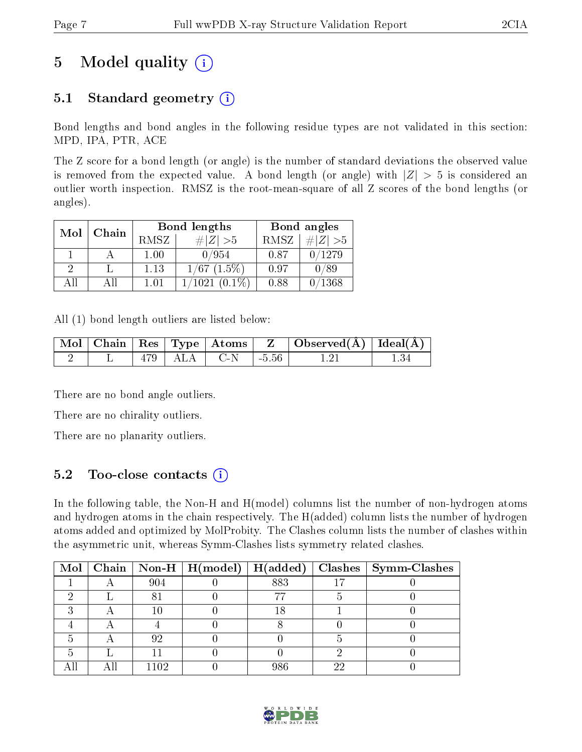# 5 Model quality  $(i)$

## 5.1 Standard geometry  $(i)$

Bond lengths and bond angles in the following residue types are not validated in this section: MPD, IPA, PTR, ACE

The Z score for a bond length (or angle) is the number of standard deviations the observed value is removed from the expected value. A bond length (or angle) with  $|Z| > 5$  is considered an outlier worth inspection. RMSZ is the root-mean-square of all Z scores of the bond lengths (or angles).

| Mol | Chain |      | <b>Bond lengths</b>          | Bond angles |                 |  |
|-----|-------|------|------------------------------|-------------|-----------------|--|
|     |       | RMSZ | $\# Z  > 5$                  | RMSZ        | # $ Z >5$       |  |
|     |       | 1.00 | 0/954                        | 0.87        | 0/1279          |  |
| 9   |       | 1.13 | $1/67$ $(1.5\%)$             | 0.97        | 0/89            |  |
| AH  | All   | 1.01 | $(0.1\%)$<br>$^{\prime}1021$ | 0.88        | $^{\prime}1368$ |  |

All (1) bond length outliers are listed below:

|  |                   |         | $\mid$ Mol $\mid$ Chain $\mid$ Res $\mid$ Type $\mid$ Atoms $\mid$ $\mid$ $\mid$ $\mid$ Observed(Å) $\mid$ Ideal(Å) $\mid$ |  |
|--|-------------------|---------|----------------------------------------------------------------------------------------------------------------------------|--|
|  | $479$   ALA   C-N | $-5.56$ |                                                                                                                            |  |

There are no bond angle outliers.

There are no chirality outliers.

There are no planarity outliers.

## 5.2 Too-close contacts (i)

In the following table, the Non-H and H(model) columns list the number of non-hydrogen atoms and hydrogen atoms in the chain respectively. The H(added) column lists the number of hydrogen atoms added and optimized by MolProbity. The Clashes column lists the number of clashes within the asymmetric unit, whereas Symm-Clashes lists symmetry related clashes.

|  |      |     |    | Mol   Chain   Non-H   H(model)   H(added)   Clashes   Symm-Clashes |
|--|------|-----|----|--------------------------------------------------------------------|
|  | 904  | 883 |    |                                                                    |
|  |      |     |    |                                                                    |
|  |      |     |    |                                                                    |
|  |      |     |    |                                                                    |
|  | 92   |     |    |                                                                    |
|  |      |     |    |                                                                    |
|  | 1102 | 986 | റല |                                                                    |

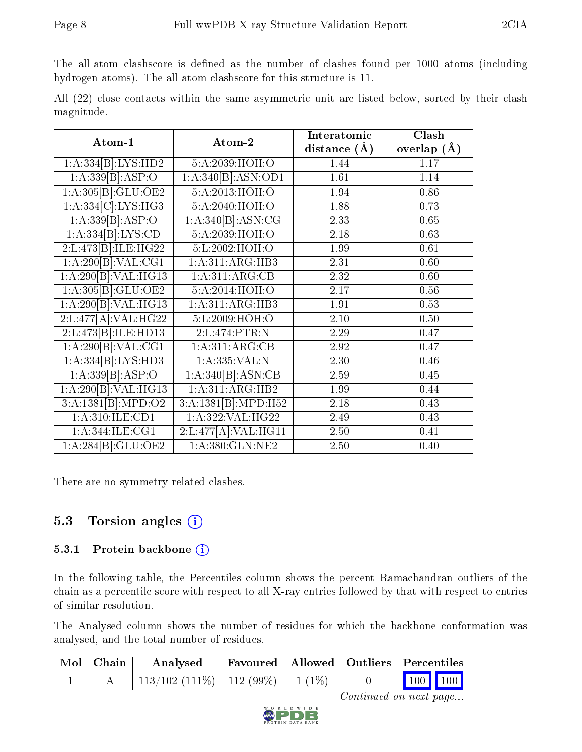The all-atom clashscore is defined as the number of clashes found per 1000 atoms (including hydrogen atoms). The all-atom clashscore for this structure is 11.

|            |  |  | All (22) close contacts within the same asymmetric unit are listed below, sorted by their clash |  |  |  |  |
|------------|--|--|-------------------------------------------------------------------------------------------------|--|--|--|--|
| magnitude. |  |  |                                                                                                 |  |  |  |  |

| Atom-1              | Atom-2              | Interatomic       | Clash         |
|---------------------|---------------------|-------------------|---------------|
|                     |                     | distance $(\AA)$  | overlap $(A)$ |
| 1:A:334[B]:LYS:HD2  | 5:A:2039:HOH:O      | 1.44              | 1.17          |
| 1:A:339[B]:ASP:O    | 1:A:340[B]:ASN:OD1  | 1.61              | 1.14          |
| 1:A:305[B]:GLU:OE2  | 5:A:2013:HOH:O      | 1.94              | 0.86          |
| 1:A:334[C]:LYS:HG3  | 5:A:2040:HOH:O      | 1.88              | 0.73          |
| 1:A:339[B]:ASP:O    | 1:A:340[B].ASN:CG   | 2.33              | 0.65          |
| 1:A:334[B]:LYS:CD   | 5:A:2039:HOH:O      | 2.18              | 0.63          |
| 2:L:473[B]:ILE:HG22 | 5:L:2002:HOH:O      | 1.99              | 0.61          |
| 1:A:290[B]:VAL:CG1  | 1:A:311:ARG:HB3     | 2.31              | 0.60          |
| 1:A:290[B]:VAL:HG13 | 1:A:311:ARG:CB      | $2.32\,$          | 0.60          |
| 1:A:305[B]:GLU:OE2  | 5:A:2014:HOH:O      | $\overline{2.17}$ | $0.56\,$      |
| 1:A:290[B]:VAL:HG13 | 1:A:311:ARG:HB3     | 1.91              | 0.53          |
| 2:L:477[A]:VAL:HG22 | 5:L:2009:HOH:O      | 2.10              | 0.50          |
| 2:L:473[B]:ILE:HD13 | 2:L:474:PTR:N       | 2.29              | 0.47          |
| 1:A:290[B]:VAL:CG1  | 1:A:311:ARG:CB      | 2.92              | 0.47          |
| 1:A:334[B]:LYS:HD3  | 1: A: 335: VAL: N   | 2.30              | 0.46          |
| 1:A:339[B]:ASP:O    | 1:A:340[B]:ASN:CB   | 2.59              | 0.45          |
| 1:A:290[B]:VAL:HG13 | 1:A:311:ARG:HB2     | 1.99              | 0.44          |
| 3:A:1381[B]:MPD:O2  | 3:A:1381[B]:MPD:H52 | 2.18              | 0.43          |
| 1: A:310: ILE: CD1  | 1:A:322:VAL:HG22    | 2.49              | 0.43          |
| 1:A:344:ILE:CG1     | 2:L:477[A]:VAL:HG11 | 2.50              | 0.41          |
| 1:A:284[B]:GLU:OE2  | 1:A:380:GLN:NE2     | 2.50              | 0.40          |

There are no symmetry-related clashes.

## 5.3 Torsion angles  $(i)$

#### 5.3.1 Protein backbone (i)

In the following table, the Percentiles column shows the percent Ramachandran outliers of the chain as a percentile score with respect to all X-ray entries followed by that with respect to entries of similar resolution.

The Analysed column shows the number of residues for which the backbone conformation was analysed, and the total number of residues.

| Mol   Chain | Analysed                                 |  | $^+$ Favoured   Allowed   Outliers   Percentiles $^+$ |  |  |
|-------------|------------------------------------------|--|-------------------------------------------------------|--|--|
|             | $113/102$ (111\%)   112 (99\%)   1 (1\%) |  | $\vert$ 100 100 $\vert$                               |  |  |

Continued on next page...

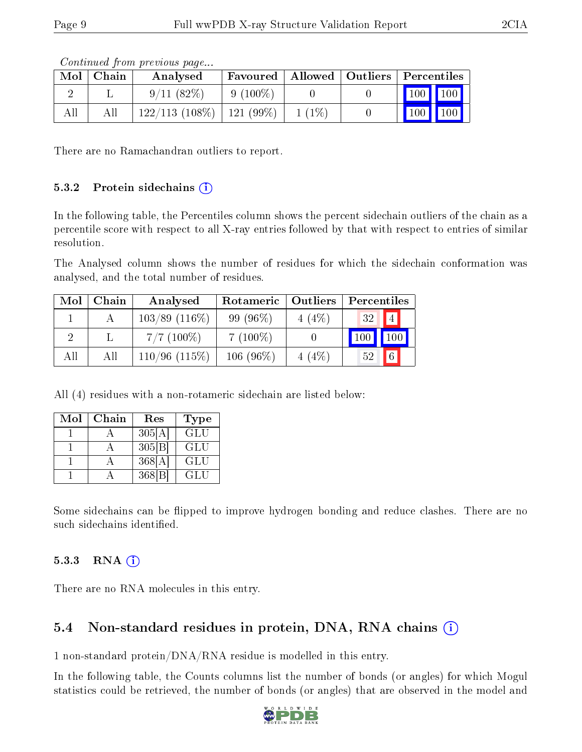Continued from previous page...

There are no Ramachandran outliers to report.

#### $5.3.2$  Protein sidechains  $(i)$

In the following table, the Percentiles column shows the percent sidechain outliers of the chain as a percentile score with respect to all X-ray entries followed by that with respect to entries of similar resolution.

The Analysed column shows the number of residues for which the sidechain conformation was analysed, and the total number of residues.

| Mol | Chain | Analysed         | Rotameric   | Outliers | Percentiles |               |
|-----|-------|------------------|-------------|----------|-------------|---------------|
|     |       | $103/89$ (116\%) | $99(96\%)$  | 4(4%)    | 32          | 4             |
|     |       | $7/7$ (100\%)    | $7(100\%)$  |          |             |               |
| All | All   | $110/96$ (115%)  | $106(96\%)$ | 4(4%)    | 52          | $6^{\degree}$ |

All (4) residues with a non-rotameric sidechain are listed below:

| Mol | Chain | Res    | <b>Type</b> |
|-----|-------|--------|-------------|
|     |       | 305[A] | GLU         |
|     |       | 305 B  | <b>GLU</b>  |
|     |       | 368[A] | GLU         |
|     |       | 368 B  | GLU         |

Some sidechains can be flipped to improve hydrogen bonding and reduce clashes. There are no such sidechains identified.

#### 5.3.3 RNA (1)

There are no RNA molecules in this entry.

### 5.4 Non-standard residues in protein, DNA, RNA chains (i)

1 non-standard protein/DNA/RNA residue is modelled in this entry.

In the following table, the Counts columns list the number of bonds (or angles) for which Mogul statistics could be retrieved, the number of bonds (or angles) that are observed in the model and



Mol | Chain | Analysed | Favoured | Allowed | Outliers | Percentiles 2 | L |  $9/11 (82\%)$  |  $9 (100\%)$  | 0 | 0 | 100 100 All | All  $|122/113 (108\%) |121 (99\%) |1 (1\%) |0| |100| 100$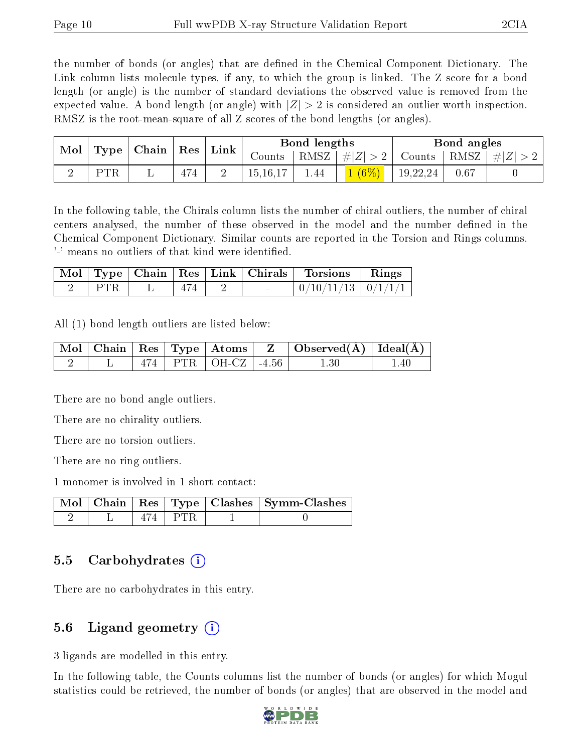the number of bonds (or angles) that are defined in the Chemical Component Dictionary. The Link column lists molecule types, if any, to which the group is linked. The Z score for a bond length (or angle) is the number of standard deviations the observed value is removed from the expected value. A bond length (or angle) with  $|Z| > 2$  is considered an outlier worth inspection. RMSZ is the root-mean-square of all Z scores of the bond lengths (or angles).

| Mol |            | $\mid$ Type $\mid$ Chain $\mid$ Res $\mid$ Link |     |            |         |          |               |      | Bond lengths |  |  | Bond angles |  |
|-----|------------|-------------------------------------------------|-----|------------|---------|----------|---------------|------|--------------|--|--|-------------|--|
|     |            |                                                 |     | Counts     | † RMSZ∣ | #Z  > 2  | Counts   RMSZ |      | $\# Z $      |  |  |             |  |
|     | <b>PTR</b> |                                                 | 474 | 15, 16, 17 | 1.44    | $1(6\%)$ | 19,22,24      | 0.67 |              |  |  |             |  |

In the following table, the Chirals column lists the number of chiral outliers, the number of chiral centers analysed, the number of these observed in the model and the number defined in the Chemical Component Dictionary. Similar counts are reported in the Torsion and Rings columns. '-' means no outliers of that kind were identified.

|       |     |        | Mol   Type   Chain   Res   Link   Chirals   Torsions   Rings |  |
|-------|-----|--------|--------------------------------------------------------------|--|
| I PTR | 474 | $\sim$ | $\mid 0/10/11/13 \mid 0/1/1/1 \mid$                          |  |

All (1) bond length outliers are listed below:

|  |  |                             | $\mid$ Mol $\mid$ Chain $\mid$ Res $\mid$ Type $\mid$ Atoms $\mid$ $\mid$ Z $\mid$ Observed(Å) $\mid$ Ideal(Å) $\mid$ |     |
|--|--|-----------------------------|-----------------------------------------------------------------------------------------------------------------------|-----|
|  |  | $474$   PTR   OH-CZ   -4.56 |                                                                                                                       | .40 |

There are no bond angle outliers.

There are no chirality outliers.

There are no torsion outliers.

There are no ring outliers.

1 monomer is involved in 1 short contact:

|  |           | Mol   Chain   Res   Type   Clashes   Symm-Clashes |
|--|-----------|---------------------------------------------------|
|  | 474   PTR |                                                   |

### 5.5 Carbohydrates (i)

There are no carbohydrates in this entry.

### 5.6 Ligand geometry (i)

3 ligands are modelled in this entry.

In the following table, the Counts columns list the number of bonds (or angles) for which Mogul statistics could be retrieved, the number of bonds (or angles) that are observed in the model and

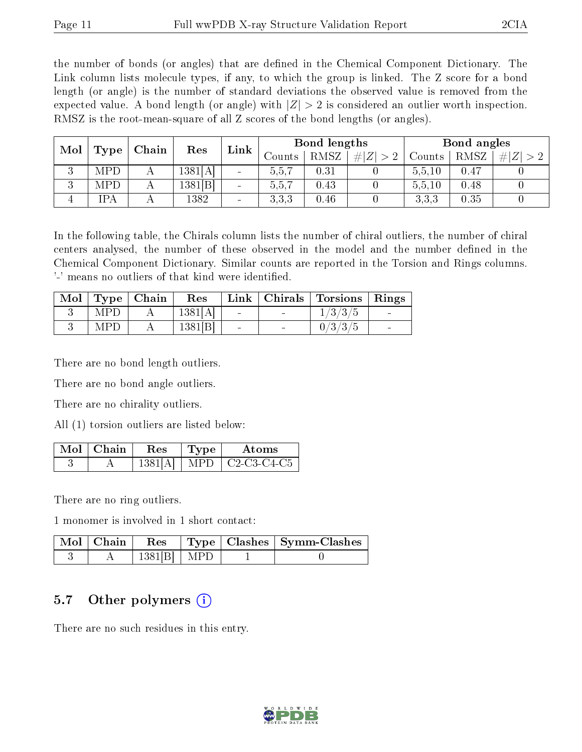the number of bonds (or angles) that are defined in the Chemical Component Dictionary. The Link column lists molecule types, if any, to which the group is linked. The Z score for a bond length (or angle) is the number of standard deviations the observed value is removed from the expected value. A bond length (or angle) with  $|Z| > 2$  is considered an outlier worth inspection. RMSZ is the root-mean-square of all Z scores of the bond lengths (or angles).

| Mol    |      | Chain | Res     | Link            |        | Bond lengths |            | Bond angles |      |             |
|--------|------|-------|---------|-----------------|--------|--------------|------------|-------------|------|-------------|
|        | Type |       |         |                 | Counts | RMSZ         | # Z <br>>2 | Counts      | RMSZ | # $ Z  > 2$ |
| 2<br>◡ | MPD  |       | 1381[A] |                 | 5.5.7  | 0.31         |            | 5,5,10      | 0.47 |             |
| 2<br>◡ | MPD  | А     | 1381[B] | $\qquad \qquad$ | 5,5,7  | $0.43\,$     |            | 5,5,10      | 0.48 |             |
|        | IPA  |       | 1382    | $\qquad \qquad$ | 3.3.3  | 0.46         |            | 3,3,3       | 0.35 |             |

In the following table, the Chirals column lists the number of chiral outliers, the number of chiral centers analysed, the number of these observed in the model and the number defined in the Chemical Component Dictionary. Similar counts are reported in the Torsion and Rings columns. '-' means no outliers of that kind were identified.

| $\vert$ Mol $\vert$ Type $\vert$ Chain | Res     |                 | Link   Chirals   Torsions   Rings |  |
|----------------------------------------|---------|-----------------|-----------------------------------|--|
| <b>MPD</b>                             | 1381[A] | <b>Contract</b> | 1/3/3/5                           |  |
| <b>MPD</b>                             | 1381[B] |                 | 0/3/3/5                           |  |

There are no bond length outliers.

There are no bond angle outliers.

There are no chirality outliers.

All (1) torsion outliers are listed below:

| Mol   Chain | Res     | Type  | Atoms                                                                 |
|-------------|---------|-------|-----------------------------------------------------------------------|
|             | 1381[A] | MPD ' | $\mid$ C <sub>2</sub> -C <sub>3</sub> -C <sub>4</sub> -C <sub>5</sub> |

There are no ring outliers.

1 monomer is involved in 1 short contact:

| $\mid$ Mol $\mid$ Chain | $\operatorname{Res}$ |  | $\vert$ Type $\vert$ Clashes $\vert$ Symm-Clashes |
|-------------------------|----------------------|--|---------------------------------------------------|
|                         | $1381[B]$ MPD        |  |                                                   |

### 5.7 [O](https://www.wwpdb.org/validation/2017/XrayValidationReportHelp#nonstandard_residues_and_ligands)ther polymers (i)

There are no such residues in this entry.

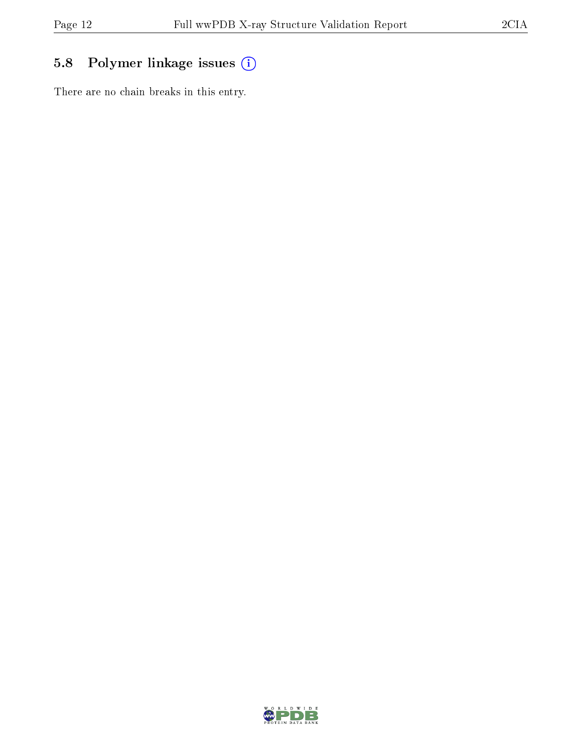# 5.8 Polymer linkage issues (i)

There are no chain breaks in this entry.

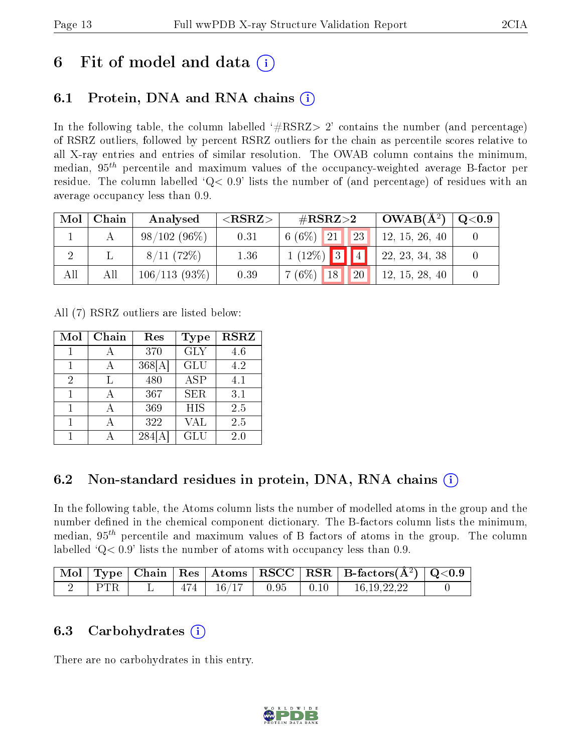# 6 Fit of model and data  $\left( \cdot \right)$

## 6.1 Protein, DNA and RNA chains (i)

In the following table, the column labelled  $#RSRZ>2'$  contains the number (and percentage) of RSRZ outliers, followed by percent RSRZ outliers for the chain as percentile scores relative to all X-ray entries and entries of similar resolution. The OWAB column contains the minimum, median,  $95<sup>th</sup>$  percentile and maximum values of the occupancy-weighted average B-factor per residue. The column labelled  $Q< 0.9$  lists the number of (and percentage) of residues with an average occupancy less than 0.9.

| Mol | Chain | Analysed        | ${ <\hspace{-1.5pt}{\mathrm{RSRZ}} \hspace{-1.5pt}>}$ | $\#\text{RSRZ}\text{>2}$                 | $\sim$ OWAB( $A^2$ ) | $\rm Q\textcolor{black}{<}0.9$ |
|-----|-------|-----------------|-------------------------------------------------------|------------------------------------------|----------------------|--------------------------------|
|     |       | $98/102(96\%)$  | 0.31                                                  | 23 <br>$6(6\%)$ 21                       | 12, 15, 26, 40       |                                |
|     |       | 8/11(72%)       | 1.36                                                  | $1(12\%)$ 3 4                            | 22, 23, 34, 38       |                                |
| All | All   | $106/113(93\%)$ | 0.39                                                  | 20 <sup>1</sup><br>$7(6\%)$<br><b>18</b> | 12, 15, 28, 40       |                                |

All (7) RSRZ outliers are listed below:

| Mol | Chain | Res    | <b>Type</b> | <b>RSRZ</b> |
|-----|-------|--------|-------------|-------------|
|     |       | 370    | <b>GLY</b>  | 4.6         |
|     |       | 368[A] | GLU         | 4.2         |
| 2   | Ь     | 480    | <b>ASP</b>  | 4.1         |
|     |       | 367    | <b>SER</b>  | 3.1         |
| 1   |       | 369    | <b>HIS</b>  | 2.5         |
|     |       | 322    | <b>VAL</b>  | 2.5         |
|     |       | 284    | GLU         | 2.0         |

## 6.2 Non-standard residues in protein, DNA, RNA chains  $(i)$

In the following table, the Atoms column lists the number of modelled atoms in the group and the number defined in the chemical component dictionary. The B-factors column lists the minimum, median,  $95<sup>th</sup>$  percentile and maximum values of B factors of atoms in the group. The column labelled  $Q< 0.9$ ' lists the number of atoms with occupancy less than 0.9.

|            |     |          |      |      | $\vert$ Mol $\vert$ Type $\vert$ Chain $\vert$ Res $\vert$ Atoms $\vert$ RSCC $\vert$ RSR $\vert$ B-factors(A <sup>2</sup> ) $\vert$ Q<0.9 |  |
|------------|-----|----------|------|------|--------------------------------------------------------------------------------------------------------------------------------------------|--|
| <b>PTR</b> | 474 | $-16/17$ | 0.95 | 0.10 | 16 19 22 22                                                                                                                                |  |

## 6.3 Carbohydrates (i)

There are no carbohydrates in this entry.